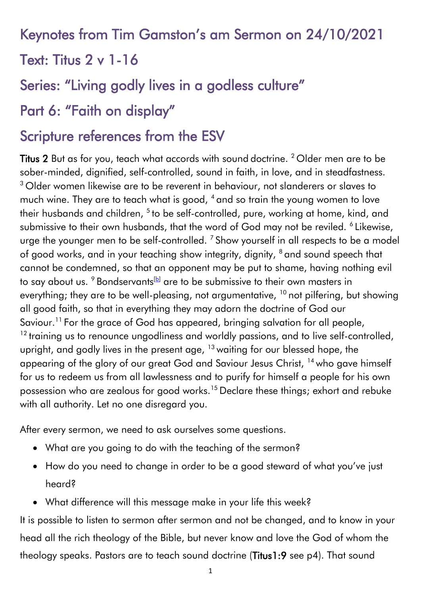Keynotes from Tim Gamston's am Sermon on 24/10/2021

Text: Titus 2 v 1-16

Series: "Living godly lives in a godless culture"

# Part 6: "Faith on display"

## Scripture references from the ESV

Titus 2 But as for you, teach what accords with sound doctrine. <sup>2</sup> Older men are to be sober-minded, dignified, self-controlled, sound in faith, in love, and in steadfastness. <sup>3</sup> Older women likewise are to be reverent in behaviour, not slanderers or slaves to much wine. They are to teach what is good, <sup>4</sup> and so train the young women to love their husbands and children, <sup>5</sup> to be self-controlled, pure, working at home, kind, and submissive to their own husbands, that the word of God may not be reviled. <sup>6</sup> Likewise, urge the younger men to be self-controlled.  $^7$  Show yourself in all respects to be a model of good works, and in your teaching show integrity, dignity, <sup>8</sup> and sound speech that cannot be condemned, so that an opponent may be put to shame, having nothing evil to say about us.  $9$  Bondservants<sup>[\[b\]](https://www.biblegateway.com/passage/?search=Titus+2&version=ESV#fen-ESV-29901b)</sup> are to be submissive to their own masters in everything; they are to be well-pleasing, not argumentative,  $10$  not pilfering, but showing all good faith, so that in everything they may adorn the doctrine of God our Saviour.<sup>11</sup> For the grace of God has appeared, bringing salvation for all people, <sup>12</sup> training us to renounce ungodliness and worldly passions, and to live self-controlled, upright, and godly lives in the present age,  $13$  waiting for our blessed hope, the appearing of the glory of our great God and Saviour Jesus Christ, <sup>14</sup> who gave himself for us to redeem us from all lawlessness and to purify for himself a people for his own possession who are zealous for good works.<sup>15</sup> Declare these things; exhort and rebuke with all authority. Let no one disregard you.

After every sermon, we need to ask ourselves some questions.

- What are you going to do with the teaching of the sermon?
- How do you need to change in order to be a good steward of what you've just heard?
- What difference will this message make in your life this week?

It is possible to listen to sermon after sermon and not be changed, and to know in your head all the rich theology of the Bible, but never know and love the God of whom the theology speaks. Pastors are to teach sound doctrine (Titus1:9 see p4). That sound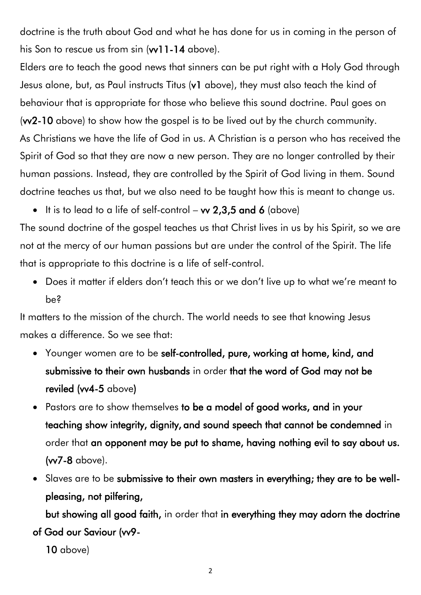doctrine is the truth about God and what he has done for us in coming in the person of his Son to rescue us from sin (w11-14 above).

Elders are to teach the good news that sinners can be put right with a Holy God through Jesus alone, but, as Paul instructs Titus (v1 above), they must also teach the kind of behaviour that is appropriate for those who believe this sound doctrine. Paul goes on (vv2-10 above) to show how the gospel is to be lived out by the church community. As Christians we have the life of God in us. A Christian is a person who has received the Spirit of God so that they are now a new person. They are no longer controlled by their human passions. Instead, they are controlled by the Spirit of God living in them. Sound doctrine teaches us that, but we also need to be taught how this is meant to change us.

• It is to lead to a life of self-control –  $\mathbf{w}$  2,3,5 and 6 (above)

The sound doctrine of the gospel teaches us that Christ lives in us by his Spirit, so we are not at the mercy of our human passions but are under the control of the Spirit. The life that is appropriate to this doctrine is a life of self-control.

• Does it matter if elders don't teach this or we don't live up to what we're meant to be?

It matters to the mission of the church. The world needs to see that knowing Jesus makes a difference. So we see that:

- Younger women are to be self-controlled, pure, working at home, kind, and submissive to their own husbands in order that the word of God may not be reviled (vv4-5 above)
- **Pastors are to show themselves to be a model of good works, and in your** teaching show integrity, dignity, and sound speech that cannot be condemned in order that an opponent may be put to shame, having nothing evil to say about us. (vv7-8 above).
- Slaves are to be submissive to their own masters in everything; they are to be wellpleasing, not pilfering,

 but showing all good faith, in order that in everything they may adorn the doctrine of God our Saviour (vv9-

10 above)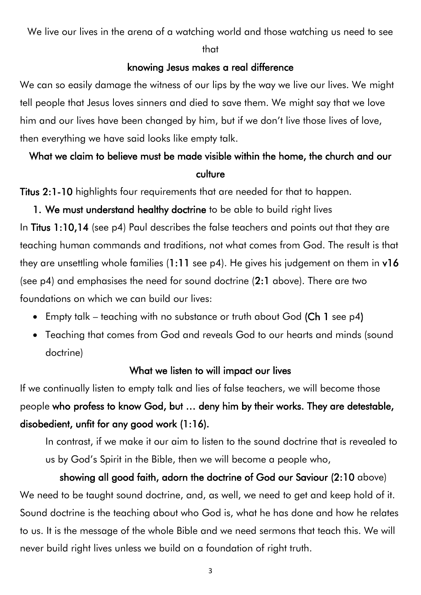We live our lives in the arena of a watching world and those watching us need to see

#### that

#### knowing Jesus makes a real difference

We can so easily damage the witness of our lips by the way we live our lives. We might tell people that Jesus loves sinners and died to save them. We might say that we love him and our lives have been changed by him, but if we don't live those lives of love, then everything we have said looks like empty talk.

## What we claim to believe must be made visible within the home, the church and our culture

Titus 2:1-10 highlights four requirements that are needed for that to happen.

1. We must understand healthy doctrine to be able to build right lives In Titus 1:10,14 (see p4) Paul describes the false teachers and points out that they are teaching human commands and traditions, not what comes from God. The result is that they are unsettling whole families  $(1:11$  see p4). He gives his judgement on them in v16 (see p4) and emphasises the need for sound doctrine (2:1 above). There are two foundations on which we can build our lives:

- Empty talk teaching with no substance or truth about God (Ch 1 see p4)
- Teaching that comes from God and reveals God to our hearts and minds (sound doctrine)

### What we listen to will impact our lives

If we continually listen to empty talk and lies of false teachers, we will become those people who profess to know God, but … deny him by their works. They are detestable, disobedient, unfit for any good work (1:16).

In contrast, if we make it our aim to listen to the sound doctrine that is revealed to us by God's Spirit in the Bible, then we will become a people who,

showing all good faith, adorn the doctrine of God our Saviour (2:10 above) We need to be taught sound doctrine, and, as well, we need to get and keep hold of it. Sound doctrine is the teaching about who God is, what he has done and how he relates to us. It is the message of the whole Bible and we need sermons that teach this. We will never build right lives unless we build on a foundation of right truth.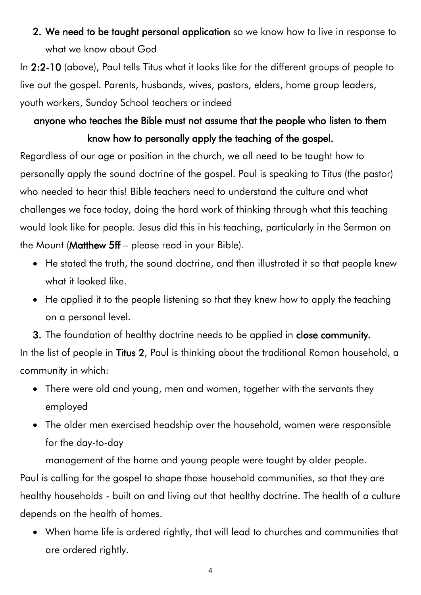2. We need to be taught personal application so we know how to live in response to what we know about God

In 2:2-10 (above), Paul tells Titus what it looks like for the different groups of people to live out the gospel. Parents, husbands, wives, pastors, elders, home group leaders, youth workers, Sunday School teachers or indeed

## anyone who teaches the Bible must not assume that the people who listen to them know how to personally apply the teaching of the gospel.

Regardless of our age or position in the church, we all need to be taught how to personally apply the sound doctrine of the gospel. Paul is speaking to Titus (the pastor) who needed to hear this! Bible teachers need to understand the culture and what challenges we face today, doing the hard work of thinking through what this teaching would look like for people. Jesus did this in his teaching, particularly in the Sermon on the Mount (Matthew 5ff – please read in your Bible).

- He stated the truth, the sound doctrine, and then illustrated it so that people knew what it looked like.
- He applied it to the people listening so that they knew how to apply the teaching on a personal level.

3. The foundation of healthy doctrine needs to be applied in close community. In the list of people in Titus 2, Paul is thinking about the traditional Roman household, a community in which:

- There were old and young, men and women, together with the servants they employed
- The older men exercised headship over the household, women were responsible for the day-to-day

management of the home and young people were taught by older people.

Paul is calling for the gospel to shape those household communities, so that they are healthy households - built on and living out that healthy doctrine. The health of a culture depends on the health of homes.

• When home life is ordered rightly, that will lead to churches and communities that are ordered rightly.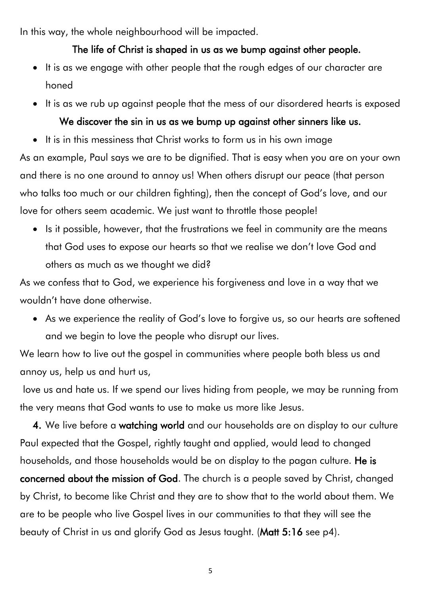In this way, the whole neighbourhood will be impacted.

### The life of Christ is shaped in us as we bump against other people.

- It is as we engage with other people that the rough edges of our character are honed
- It is as we rub up against people that the mess of our disordered hearts is exposed

### We discover the sin in us as we bump up against other sinners like us.

• It is in this messiness that Christ works to form us in his own image

As an example, Paul says we are to be dignified. That is easy when you are on your own and there is no one around to annoy us! When others disrupt our peace (that person who talks too much or our children fighting), then the concept of God's love, and our love for others seem academic. We just want to throttle those people!

• Is it possible, however, that the frustrations we feel in community are the means that God uses to expose our hearts so that we realise we don't love God and others as much as we thought we did?

As we confess that to God, we experience his forgiveness and love in a way that we wouldn't have done otherwise.

• As we experience the reality of God's love to forgive us, so our hearts are softened and we begin to love the people who disrupt our lives.

We learn how to live out the gospel in communities where people both bless us and annoy us, help us and hurt us,

love us and hate us. If we spend our lives hiding from people, we may be running from the very means that God wants to use to make us more like Jesus.

4. We live before a watching world and our households are on display to our culture Paul expected that the Gospel, rightly taught and applied, would lead to changed households, and those households would be on display to the pagan culture. He is concerned about the mission of God. The church is a people saved by Christ, changed by Christ, to become like Christ and they are to show that to the world about them. We are to be people who live Gospel lives in our communities to that they will see the beauty of Christ in us and glorify God as Jesus taught. (Matt 5:16 see p4).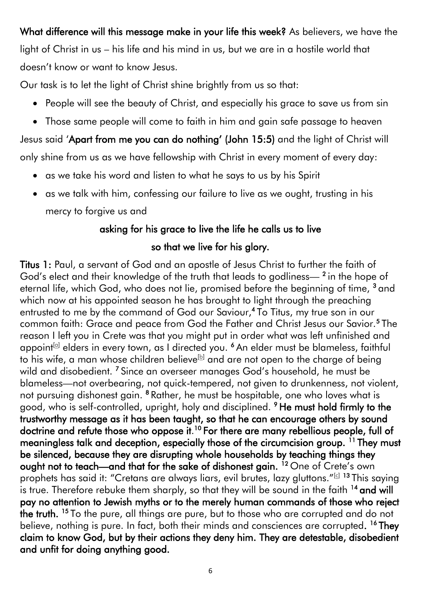What difference will this message make in your life this week? As believers, we have the light of Christ in us – his life and his mind in us, but we are in a hostile world that doesn't know or want to know Jesus.

Our task is to let the light of Christ shine brightly from us so that:

- People will see the beauty of Christ, and especially his grace to save us from sin
- Those same people will come to faith in him and gain safe passage to heaven

Jesus said 'Apart from me you can do nothing' (John 15:5) and the light of Christ will only shine from us as we have fellowship with Christ in every moment of every day:

- as we take his word and listen to what he says to us by his Spirit
- as we talk with him, confessing our failure to live as we ought, trusting in his

mercy to forgive us and

### asking for his grace to live the life he calls us to live

### so that we live for his glory.

Titus 1: Paul, a servant of God and an apostle of Jesus Christ to further the faith of God's elect and their knowledge of the truth that leads to godliness—<sup>2</sup> in the hope of eternal life, which God, who does not lie, promised before the beginning of time, <sup>3</sup> and which now at his appointed season he has brought to light through the preaching entrusted to me by the command of God our Saviour,<sup>4</sup> To Titus, my true son in our common faith: Grace and peace from God the Father and Christ Jesus our Savior.<sup>5</sup> The reason I left you in Crete was that you might put in order what was left unfinished and appoint<sup>[<u>a</u>]</sup> elders in every town, as I directed you. <sup>6</sup> An elder must be blameless, faithful to his wife, a man whose children believe<sup>[\[b\]](https://www.biblegateway.com/passage/?search=Titus%201&version=NIV#fen-NIV-29899b)</sup> and are not open to the charge of being wild and disobedient. <sup>7</sup> Since an overseer manages God's household, he must be blameless—not overbearing, not quick-tempered, not given to drunkenness, not violent, not pursuing dishonest gain. <sup>8</sup> Rather, he must be hospitable, one who loves what is good, who is self-controlled, upright, holy and disciplined. <sup>9</sup>He must hold firmly to the trustworthy message as it has been taught, so that he can encourage others by sound doctrine and refute those who oppose it.<sup>10</sup> For there are many rebellious people, full of meaningless talk and deception, especially those of the circumcision group. <sup>11</sup> They must be silenced, because they are disrupting whole households by teaching things they ought not to teach—and that for the sake of dishonest gain. <sup>12</sup> One of Crete's own prophets has said it: "Cretans are always liars, evil brutes, lazy gluttons."<sup>[\[c\]](https://www.biblegateway.com/passage/?search=Titus%201&version=NIV#fen-NIV-29905c) 13</sup> This saying is true. Therefore rebuke them sharply, so that they will be sound in the faith  $14$  and will pay no attention to Jewish myths or to the merely human commands of those who reject **the truth.** <sup>15</sup> To the pure, all things are pure, but to those who are corrupted and do not believe, nothing is pure. In fact, both their minds and consciences are corrupted. <sup>16</sup> They claim to know God, but by their actions they deny him. They are detestable, disobedient and unfit for doing anything good.